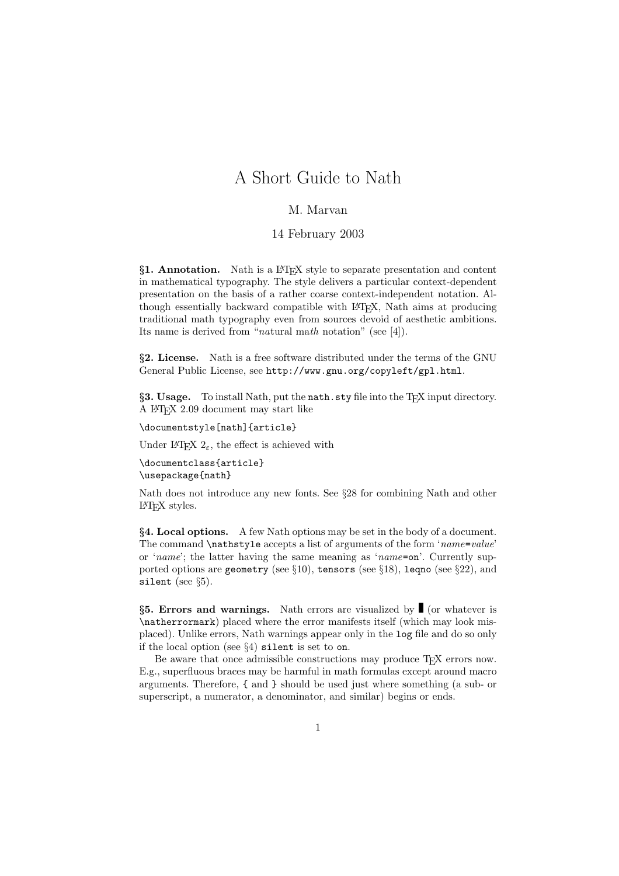# A Short Guide to Nath

# M. Marvan

## 14 February 2003

*§***1. Annotation.** Nath is a LATEX style to separate presentation and content in mathematical typography. The style delivers a particular context-dependent presentation on the basis of a rather coarse context-independent notation. Although essentially backward compatible with LATEX, Nath aims at producing traditional math typography even from sources devoid of aesthetic ambitions. Its name is derived from "natural math notation" (see [4]).

*§***2. License.** Nath is a free software distributed under the terms of the GNU General Public License, see http://www.gnu.org/copyleft/gpl.html.

§**3. Usage.** To install Nath, put the nath.sty file into the T<sub>E</sub>X input directory. A LATEX 2.09 document may start like

\documentstyle[nath]{article}

Under L<sup>AT</sup>EX 2<sup> $\epsilon$ </sup>, the effect is achieved with

```
\documentclass{article}
\usepackage{nath}
```
Nath does not introduce any new fonts. See  $\S 28$  for combining Nath and other L<sup>AT</sup>EX styles.

**§4. Local options.** A few Nath options may be set in the body of a document. The command \nathstyle accepts a list of arguments of the form 'name=value' or 'name'; the latter having the same meaning as 'name=on'. Currently supported options are geometry (see  $\S10$ ), tensors (see  $\S18$ ), leqno (see  $\S22$ ), and silent (see  $\S5$ ).

§**5. Errors and warnings.** Nath errors are visualized by ■ (or whatever is \natherrormark) placed where the error manifests itself (which may look misplaced). Unlike errors, Nath warnings appear only in the log file and do so only if the local option (see §4) silent is set to on.

Be aware that once admissible constructions may produce T<sub>EX</sub> errors now. E.g., superfluous braces may be harmful in math formulas except around macro arguments. Therefore, { and } should be used just where something (a sub- or superscript, a numerator, a denominator, and similar) begins or ends.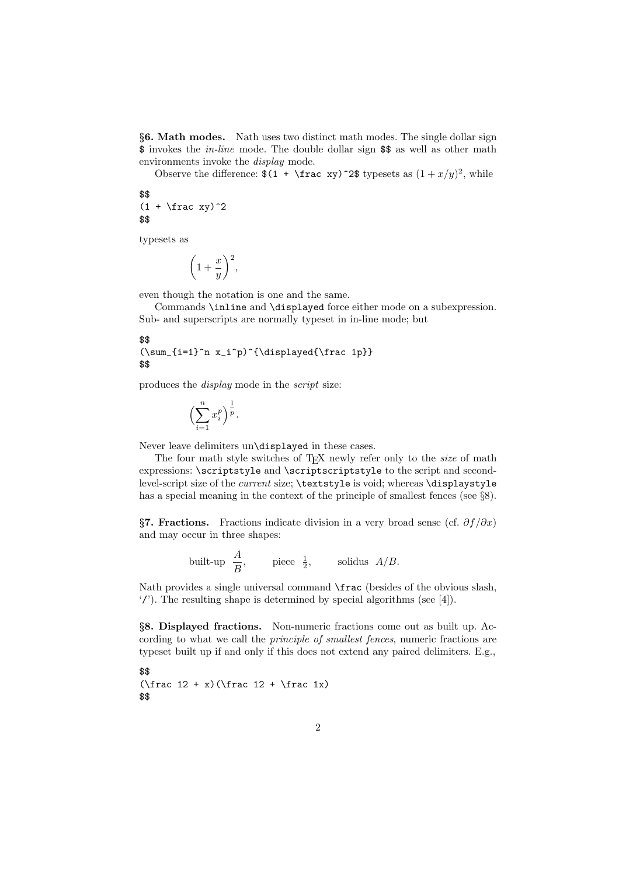*§***6. Math modes.** Nath uses two distinct math modes. The single dollar sign \$ invokes the in-line mode. The double dollar sign \$\$ as well as other math environments invoke the display mode.

Observe the difference:  $$(1 + \frac{xy}{2}\t{typeses as } (1 + x/y)^2, \t{while}$ 

#### \$\$  $(1 + \text{frac xy})^2$ \$\$

typesets as

$$
\left(1+\frac{x}{y}\right)^2,
$$

even though the notation is one and the same.

Commands \inline and \displayed force either mode on a subexpression. Sub- and superscripts are normally typeset in in-line mode; but

#### \$\$ (\sum\_{i=1}^n x\_i^p)^{\displayed{\frac 1p}} \$\$

produces the display mode in the script size:

$$
\left(\sum_{i=1}^n x_i^p\right)^{\frac{1}{p}}.
$$

Never leave delimiters un\displayed in these cases.

The four math style switches of TEX newly refer only to the *size* of math expressions: \scriptstyle and \scriptscriptstyle to the script and secondlevel-script size of the *current* size; \textstyle is void; whereas \displaystyle has a special meaning in the context of the principle of smallest fences (see  $\S 8$ ).

*§***7. Fractions.** Fractions indicate division in a very broad sense (cf. *∂f /∂x*) and may occur in three shapes:

built-up 
$$
\frac{A}{B}
$$
, piece  $\frac{1}{2}$ , solidus  $A/B$ .

Nath provides a single universal command \frac (besides of the obvious slash, '/'). The resulting shape is determined by special algorithms (see  $[4]$ ).

*§***8. Displayed fractions.** Non-numeric fractions come out as built up. According to what we call the principle of smallest fences, numeric fractions are typeset built up if and only if this does not extend any paired delimiters. E.g.,

```
$$
  (\frac{12 + x}{\frac{12 + \frac{12 + \frac{12}{\frac{12 + \frac{12}{\frac{12 + \frac{12}{\frac{12 + \frac{12}{\frac{12 + \frac{12}{\frac{12 + \frac{12}{\frac{12 + \frac{12}{\frac{12 + \frac{12}{\frac{12 + \frac{12}{\frac{12 + \frac{12}{\frac{12 + \frac{12}{\frac{12 + \frac{12}{\frac{12 + \frac{12}{\frac{12 + \frac{12}{\frac{12 + \frac{12}{\frac{12 + \frac{12}{\frac{12 + \frac{12}{\frac$$
```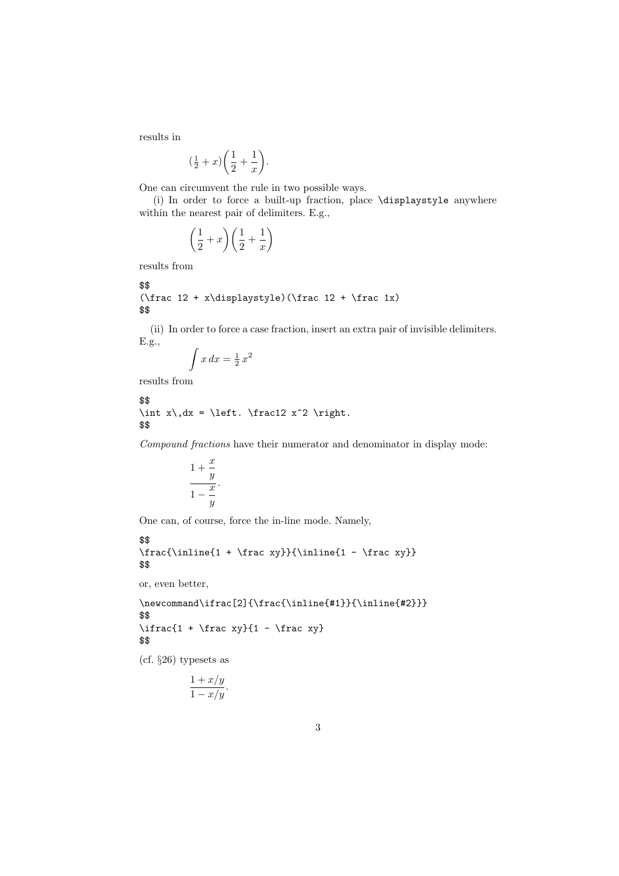results in

$$
\left(\frac{1}{2} + x\right)\left(\frac{1}{2} + \frac{1}{x}\right).
$$

One can circumvent the rule in two possible ways.

(i) In order to force a built-up fraction, place \displaystyle anywhere within the nearest pair of delimiters. E.g.,

$$
\left(\frac{1}{2} + x\right)\left(\frac{1}{2} + \frac{1}{x}\right)
$$

results from

```
$$
(\frac{12 + x\displaystyle{\frac{12 + \frac{12}{x}}{x}})$$
```
(ii) In order to force a case fraction, insert an extra pair of invisible delimiters. E.g.,

$$
\int x \, dx = \frac{1}{2} \, x^2
$$

results from

```
$$
\int x\,dx = \left. \frac12 x^2 \right.
$$
```
Compound fractions have their numerator and denominator in display mode:

$$
\frac{1+\frac{x}{y}}{1-\frac{x}{y}}.
$$

One can, of course, force the in-line mode. Namely,

```
$$
\frac{\inline{1 + \frac{xy}}{\inline{1 - \frac{xy}}$$
```
or, even better,

```
\newcommand\ifrac[2]{\frac{\inline{#1}}{\inline{#2}}}
$$
\left\{1 + \frac{xy}{1 - \frac{xy}}\right\}$$
```
(cf. §26) typesets as

$$
\frac{1+x/y}{1-x/y}.
$$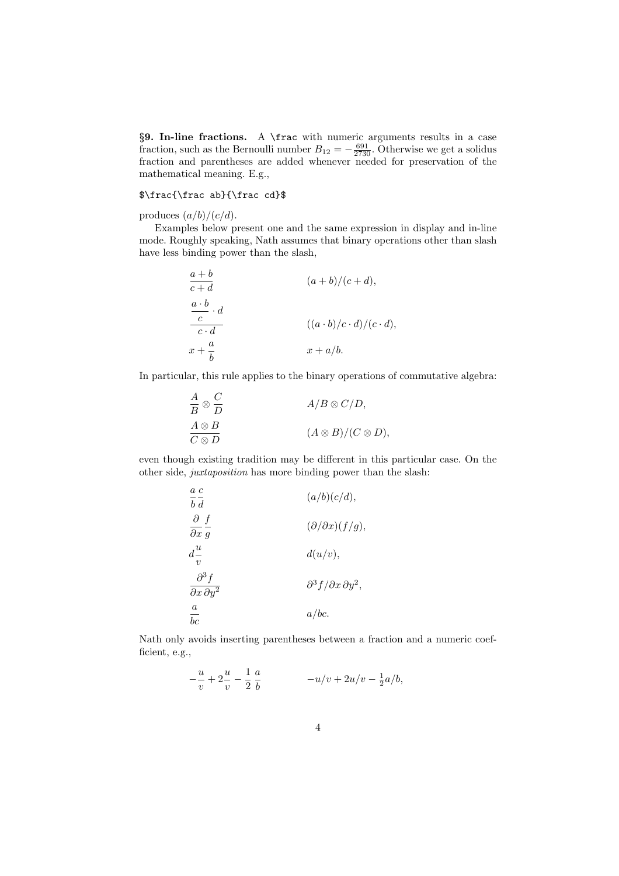*§***9. In-line fractions.** A \frac with numeric arguments results in a case fraction, such as the Bernoulli number  $B_{12} = -\frac{691}{2730}$ . Otherwise we get a solidus fraction and parentheses are added whenever needed for preservation of the mathematical meaning. E.g.,

#### \$\frac{\frac ab}{\frac cd}\$

produces  $(a/b)/(c/d)$ .

Examples below present one and the same expression in display and in-line mode. Roughly speaking, Nath assumes that binary operations other than slash have less binding power than the slash,

$$
\frac{a+b}{c+d}
$$
\n
$$
\frac{a\cdot b}{c\cdot d}
$$
\n
$$
\frac{a\cdot b}{c\cdot d}
$$
\n
$$
(a+b)/(c+d),
$$
\n
$$
\frac{a\cdot b}{c\cdot d}
$$
\n
$$
((a\cdot b)/c\cdot d)/(c\cdot d),
$$
\n
$$
x + a/b.
$$

In particular, this rule applies to the binary operations of commutative algebra:

$$
\frac{A}{B} \otimes \frac{C}{D}
$$
  
\n
$$
\frac{A \otimes B}{C \otimes D}
$$
  
\n
$$
(A \otimes B)/(C \otimes D),
$$

even though existing tradition may be different in this particular case. On the other side, juxtaposition has more binding power than the slash:

| $a\ c$<br>$b \, d$                                        | (a/b)(c/d),                                   |
|-----------------------------------------------------------|-----------------------------------------------|
| $\partial f$<br>$\partial x$ g                            | $(\partial/\partial x)(f/g),$                 |
| $d^{\underline{u}}$<br>$\eta$                             | d(u/v),                                       |
| $\partial^3 f$<br>$\overline{\partial x \, \partial y^2}$ | $\partial^3 f / \partial x \, \partial y^2$ , |
| $\boldsymbol{a}$<br>bc                                    | a/bc.                                         |

Nath only avoids inserting parentheses between a fraction and a numeric coefficient, e.g.,

$$
-\frac{u}{v} + 2\frac{u}{v} - \frac{1}{2}\frac{a}{b} - u/v + 2u/v - \frac{1}{2}a/b,
$$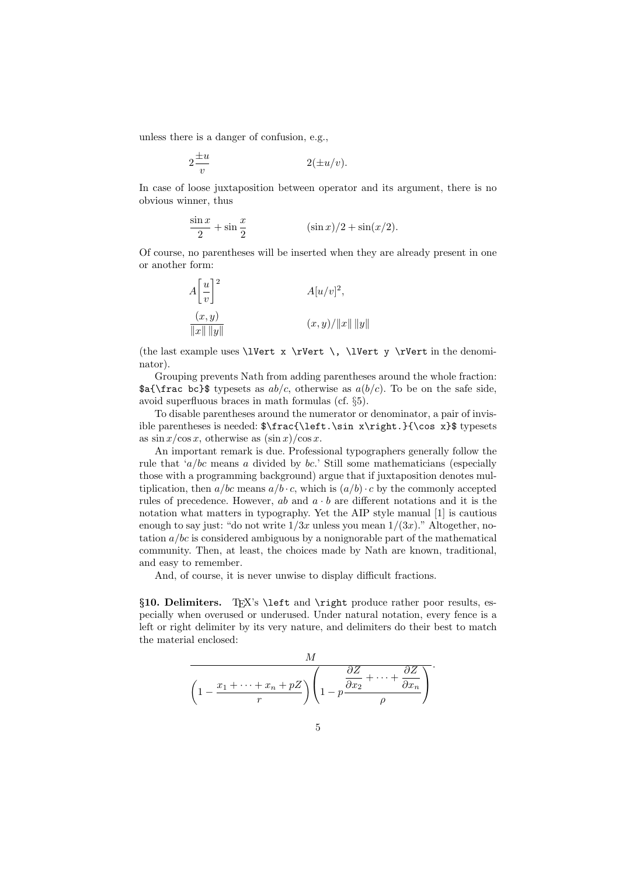unless there is a danger of confusion, e.g.,

$$
2\frac{\pm u}{v} \qquad \qquad 2(\pm u/v).
$$

In case of loose juxtaposition between operator and its argument, there is no obvious winner, thus

$$
\frac{\sin x}{2} + \sin \frac{x}{2} \qquad (\sin x)/2 + \sin(x/2).
$$

Of course, no parentheses will be inserted when they are already present in one or another form:

$$
A\left[\frac{u}{v}\right]^2
$$
  
\n
$$
\frac{(x,y)}{\|x\| \|y\|}
$$
  
\n
$$
(x,y)/\|x\| \|y\|
$$

(the last example uses \lVert x \rVert \, \lVert y \rVert in the denominator).

Grouping prevents Nath from adding parentheses around the whole fraction:  $\delta$  \frac bc}\$ typesets as *ab/c*, otherwise as *a(b/c*). To be on the safe side, avoid superfluous braces in math formulas (cf. §5).

To disable parentheses around the numerator or denominator, a pair of invisible parentheses is needed: \$\frac{\left.\sin x\right.}{\cos x}\$ typesets as  $\sin x / \cos x$ , otherwise as  $(\sin x) / \cos x$ .

An important remark is due. Professional typographers generally followthe rule that '*a/bc* means *a* divided by *bc*.' Still some mathematicians (especially those with a programming background) argue that if juxtaposition denotes multiplication, then  $a/bc$  means  $a/b \cdot c$ , which is  $(a/b) \cdot c$  by the commonly accepted rules of precedence. However,  $ab$  and  $a \cdot b$  are different notations and it is the notation what matters in typography. Yet the AIP style manual [1] is cautious enough to say just: "do not write  $1/3x$  unless you mean  $1/(3x)$ ." Altogether, notation *a/bc* is considered ambiguous by a nonignorable part of the mathematical community. Then, at least, the choices made by Nath are known, traditional, and easy to remember.

And, of course, it is never unwise to display difficult fractions.

§10. Delimiters. TEX's \left and \right produce rather poor results, especially when overused or underused. Under natural notation, every fence is a left or right delimiter by its very nature, and delimiters do their best to match the material enclosed:

$$
\frac{M}{\left(1-\frac{x_1+\cdots+x_n+pZ}{r}\right)\left(1-p\frac{\frac{\partial Z}{\partial x_2}+\cdots+\frac{\partial Z}{\partial x_n}}{\rho}\right)}.
$$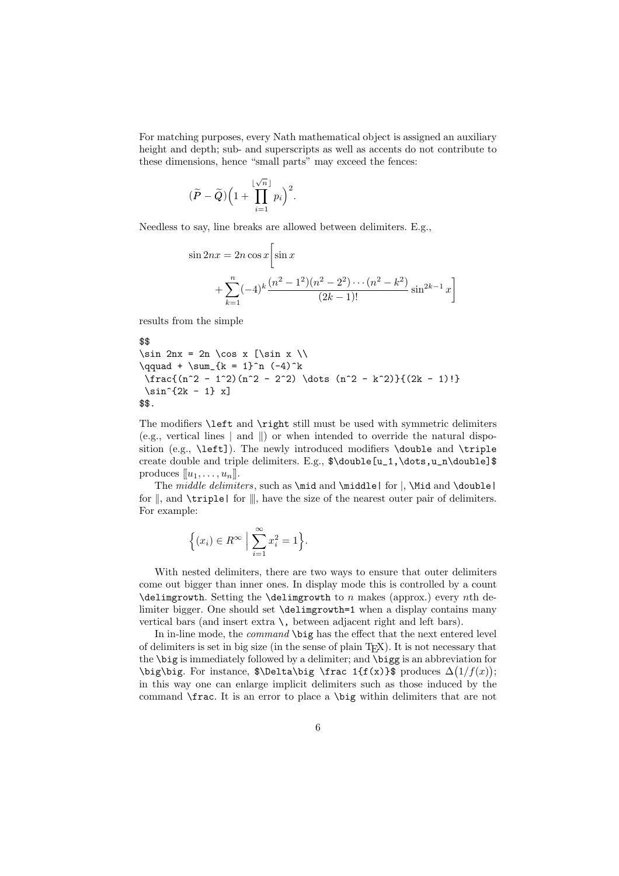For matching purposes, every Nath mathematical object is assigned an auxiliary height and depth; sub- and superscripts as well as accents do not contribute to these dimensions, hence "small parts" may exceed the fences:

$$
(\widetilde{P} - \widetilde{Q}) \Big( 1 + \prod_{i=1}^{\lfloor \sqrt{n} \rfloor} p_i \Big)^2.
$$

Needless to say, line breaks are allowed between delimiters. E.g.,

$$
\sin 2nx = 2n \cos x \left[ \sin x + \sum_{k=1}^{n} (-4)^k \frac{(n^2 - 1^2)(n^2 - 2^2) \cdots (n^2 - k^2)}{(2k - 1)!} \sin^{2k - 1} x \right]
$$

results from the simple

```
$$
\sin 2nx = 2n \cos x [\sin x \\
\qquad + \sum_{k = 1}^n (-4)^k\frac{(n^2 - 1^2)(n^2 - 2^2) \dots (n^2 - k^2)}{(2k - 1)!}\sin^{2k} - 1 x]
$$.
```
The modifiers \left and \right still must be used with symmetric delimiters (e.g., vertical lines  $\vert$  and  $\vert$ ) or when intended to override the natural disposition (e.g., \left]). The newly introduced modifiers \double and \triple create double and triple delimiters. E.g., \$\double[u\_1,\dots,u\_n\double]\$ produces  $[[u_1, \ldots, u_n]]$ .

The *middle delimiters*, such as  $\mid \mathcal{A} \mid \mathcal{A}$  for  $\mid$ ,  $\mid$  and  $\cdot$  double for  $\|$ , and  $\triangle$  triple  $\|$  for  $\|$ , have the size of the nearest outer pair of delimiters. For example:

$$
\Big\{(x_i)\in R^\infty \ \Big|\ \sum_{i=1}^\infty x_i^2=1\Big\}.
$$

With nested delimiters, there are two ways to ensure that outer delimiters come out bigger than inner ones. In display mode this is controlled by a count \delimgrowth. Setting the \delimgrowth to *n* makes (approx.) every *n*th delimiter bigger. One should set \delimgrowth=1 when a display contains many vertical bars (and insert extra  $\lambda$ , between adjacent right and left bars).

In in-line mode, the command \big has the effect that the next entered level of delimiters is set in big size (in the sense of plain  $T_FX$ ). It is not necessary that the \big is immediately followed by a delimiter; and \bigg is an abbreviation for \big\big. For instance, \$\Delta\big \frac 1{f(x)}\$ produces ∆ 1*/f*(*x*) ; in this way one can enlarge implicit delimiters such as those induced by the command \frac. It is an error to place a \big within delimiters that are not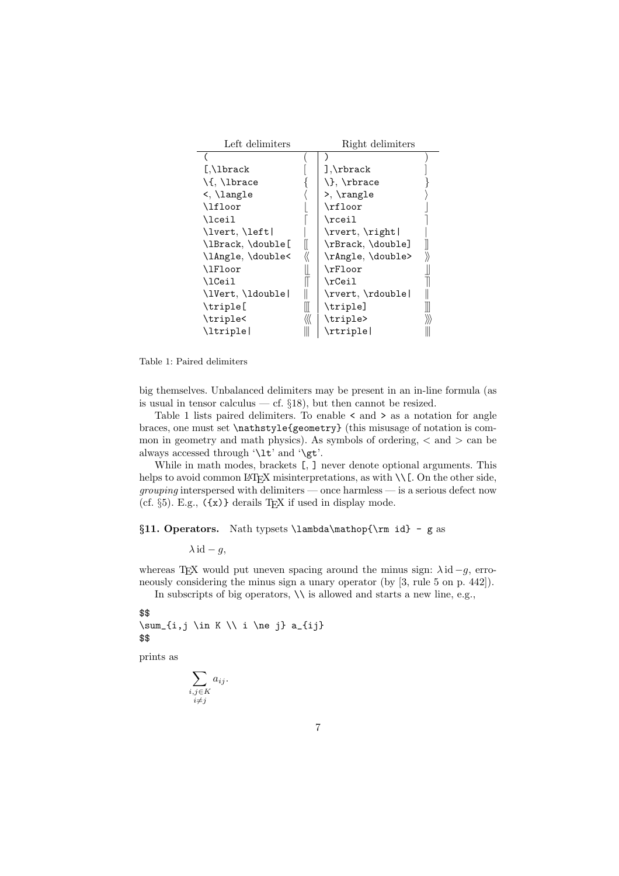| Left delimiters            |    | Right delimiters                |  |
|----------------------------|----|---------------------------------|--|
|                            |    |                                 |  |
| $[.\Lambda]$ brack         |    | $], \text{brack}$               |  |
| $\setminus \{ , \perp \}$  |    | $\}, \theta$                    |  |
| $\langle \ \rangle$ langle |    | $\rightarrow$ , $\angle$ rangle |  |
| \lfloor                    |    | \rfloor                         |  |
| \lceil                     |    | \rceil                          |  |
| \lvert, \left              |    | \rvert, \right                  |  |
| \lBrack, \double[          |    | \rBrack, \double]               |  |
| \lAngle, \double<          |    | \rAngle, \double>               |  |
| \lFloor                    |    | \rFloor                         |  |
| \1Ceil                     |    | \rCeil                          |  |
| \lVert, \ldouble           |    | \rvert, \rdouble                |  |
| \triple[                   | ll | \triple]                        |  |
| \triple<                   |    | \triple>                        |  |
| \ltriple                   |    | $\vert$                         |  |

Table 1: Paired delimiters

big themselves. Unbalanced delimiters may be present in an in-line formula (as is usual in tensor calculus — cf.  $\S18$ ), but then cannot be resized.

Table 1 lists paired delimiters. To enable  $\leq$  and  $\geq$  as a notation for angle braces, one must set \nathstyle{geometry} (this misusage of notation is common in geometry and math physics). As symbols of ordering, *<* and *>* can be always accessed through '\lt' and '\gt'.

While in math modes, brackets [, ] never denote optional arguments. This helps to avoid common LATEX misinterpretations, as with  $\setminus \mathcal{L}$ . On the other side, *grouping* interspersed with delimiters — once harmless — is a serious defect now (cf.  $\S5$ ). E.g.,  $(\{x)\}$  derails T<sub>E</sub>X if used in display mode.

*§***11. Operators.** Nath typsets \lambda\mathop{\rm id} - g as

 $λ$  id  $- q$ ,

whereas T<sub>E</sub>X would put uneven spacing around the minus sign:  $\lambda$  id  $-g$ , erroneously considering the minus sign a unary operator (by [3, rule 5 on p. 442]).

In subscripts of big operators,  $\setminus \setminus$  is allowed and starts a new line, e.g.,

\$\$

 $\sum_{i,j} \in K \setminus i$  he j} a\_{ij} \$\$

prints as

$$
\sum_{\substack{i,j \in K \\ i \neq j}} a_{ij}.
$$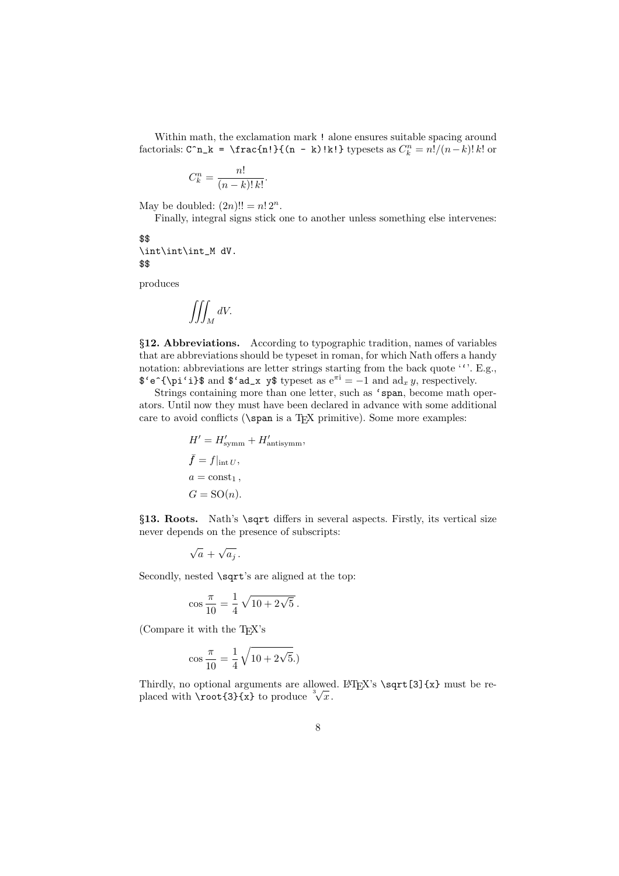Within math, the exclamation mark ! alone ensures suitable spacing around factorials:  $C^n n_k = \frac{n!}{(n - k)!k!}$  typesets as  $C_k^n = n!/(n - k)!k!$  or

$$
C_k^n = \frac{n!}{(n-k)! \, k!}.
$$

May be doubled:  $(2n)!! = n! 2^n$ .

Finally, integral signs stick one to another unless something else intervenes:

#### \$\$ \int\int\int\_M dV. \$\$

produces

$$
\iiint_M dV.
$$

*§***12. Abbreviations.** According to typographic tradition, names of variables that are abbreviations should be typeset in roman, for which Nath offers a handy notation: abbreviations are letter strings starting from the back quote  $\cdot \cdot$ . E.g.,  $\mathcal{F}^{\text{\'et}}$   $\text{\'et}$  and  $\mathcal{F}^{\text{\'et}}$  and  $\text{\'et}$  **y**, respectively.

Strings containing more than one letter, such as 'span, become math operators. Until nowthey must have been declared in advance with some additional care to avoid conflicts ( $\$ span is a T<sub>EX</sub> primitive). Some more examples:

$$
H' = H'_{\text{symm}} + H'_{\text{antisymm}},
$$
  
\n
$$
\bar{f} = f|_{\text{int } U},
$$
  
\n
$$
a = \text{const}_1,
$$
  
\n
$$
G = \text{SO}(n).
$$

*§***13. Roots.** Nath's \sqrt differs in several aspects. Firstly, its vertical size never depends on the presence of subscripts:

$$
\sqrt{a} + \sqrt{a_j} \, .
$$

Secondly, nested \sqrt's are aligned at the top:

$$
\cos\frac{\pi}{10} = \frac{1}{4}\sqrt{10 + 2\sqrt{5}}.
$$

(Compare it with the T<sub>EX</sub>'s

$$
\cos\frac{\pi}{10} = \frac{1}{4}\sqrt{10 + 2\sqrt{5}}.
$$

Thirdly, no optional arguments are allowed. LATEX's  $\sqrt{3}$  (x) must be replaced with  $\text{3}(x)$  to produce  $\sqrt[3]{x}$ .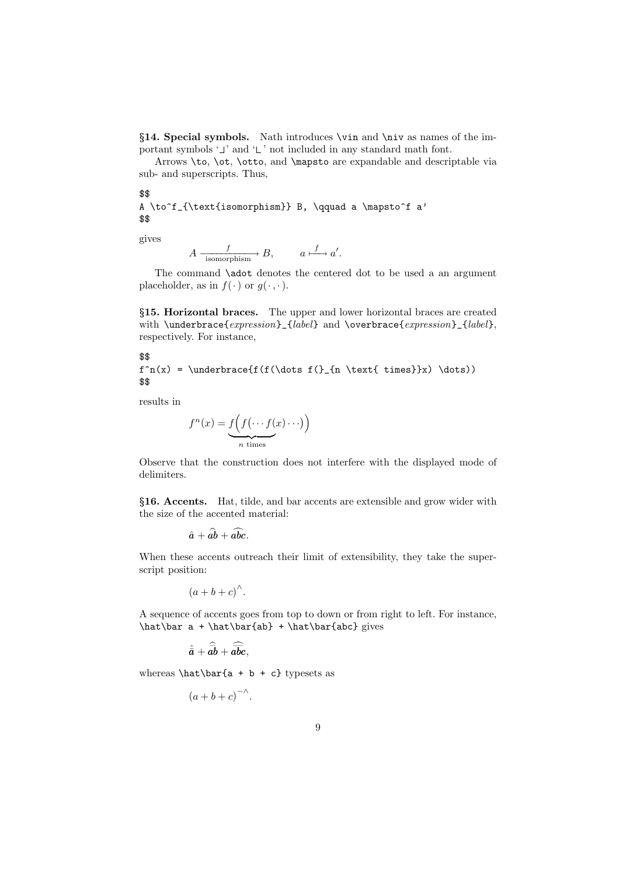*§***14. Special symbols.** Nath introduces \vin and \niv as names of the important symbols  $\cup$  and  $\cup$  not included in any standard math font.

Arrows \to, \ot, \otto, and \mapsto are expandable and descriptable via sub- and superscripts. Thus,

\$\$

```
A \to^f_{\text{isomorphism}} B, \qquad a \mapsto^f a'
$$
```
gives

 $A \xrightarrow[\text{isomorphism}]{f} B, \qquad a \xrightarrow{f} a'.$ 

The command **\adot** denotes the centered dot to be used a an argument placeholder, as in  $f(\cdot)$  or  $q(\cdot, \cdot)$ .

*§***15. Horizontal braces.** The upper and lower horizontal braces are created with \underbrace{expression}\_{label} and \overbrace{expression}\_{label}, respectively. For instance,

\$\$

 $f^n(x) = \underbrace{f(f(\dots f))_{n \text{ times}}x) \dots)$ \$\$

results in

$$
f^{n}(x) = \underbrace{f(f(\cdots f(x)\cdots))}_{n \text{ times}}
$$

Observe that the construction does not interfere with the displayed mode of delimiters.

*§***16. Accents.** Hat, tilde, and bar accents are extensible and grow wider with the size of the accented material:

$$
\hat{a}+\widehat{ab}+\widehat{abc}.
$$

When these accents outreach their limit of extensibility, they take the superscript position:

 $(a + b + c)^{^{\wedge}}$ .

A sequence of accents goes from top to down or from right to left. For instance,  $\hat\bar{a} + \hat\bar{ab} + \hat\bar{abc} gives$ 

$$
\hat{\bar{a}}+\widehat{\bar{ab}}+\widehat{\bar{abc}},
$$

whereas  $\hat\bar{a} + b + c$  typesets as

 $(a + b + c)^{-\Lambda}$ .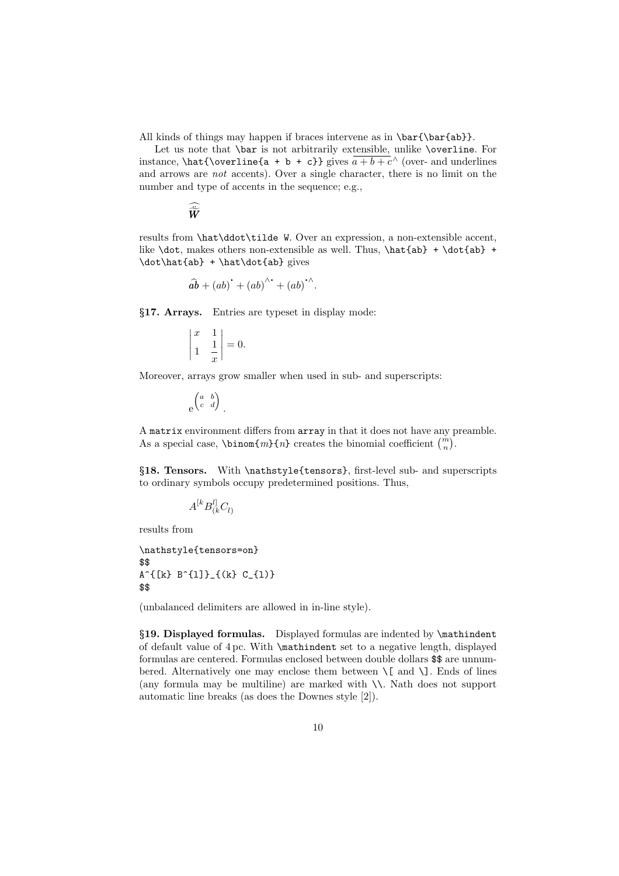All kinds of things may happen if braces intervene as in  $\bar{\bar{ab}}$ .

Let us note that \bar is not arbitrarily extensible, unlike \overline. For instance,  $\hat{\overline{a + b + c}$  gives  $\overline{a + b + c}$  (over- and underlines and arrows are not accents). Over a single character, there is no limit on the number and type of accents in the sequence; e.g.,

$$
\widehat{\widetilde{\boldsymbol{W}}}
$$

results from \hat\ddot\tilde W. Over an expression, a non-extensible accent, like  $\dot{a}$  makes others non-extensible as well. Thus,  $\hat{a}$  +  $\dot{a}$  + \dot\hat{ab} + \hat\dot{ab} gives

$$
\widehat{ab} + (ab)^{\text{`}} + (ab)^{\text{``}} + (ab)^{\text{``}}.
$$

*§***17. Arrays.** Entries are typeset in display mode:

$$
\begin{vmatrix} x & 1 \\ 1 & \frac{1}{x} \end{vmatrix} = 0.
$$

Moreover, arrays grow smaller when used in sub- and superscripts:

$$
e^{\begin{pmatrix} a & b \\ c & d \end{pmatrix}}.
$$

A matrix environment differs from array in that it does not have any preamble. As a special case,  $\binom{m}{n}$  creates the binomial coefficient  $\binom{m}{n}$ .

*§***18. Tensors.** With \nathstyle{tensors}, first-level sub- and superscripts to ordinary symbols occupy predetermined positions. Thus,

$$
A^{[k}B^{l]}_{(k}C_{l)}
$$

results from

```
\nathstyle{tensors=on}
$$
A^{(k)} B^{(1)}_{1} (k) C_{1} (l)$$
```
(unbalanced delimiters are allowed in in-line style).

*§***19. Displayed formulas.** Displayed formulas are indented by \mathindent of default value of 4 pc. With \mathindent set to a negative length, displayed formulas are centered. Formulas enclosed between double dollars \$\$ are unnumbered. Alternatively one may enclose them between  $\setminus$ [ and  $\setminus$ ]. Ends of lines (any formula may be multiline) are marked with \\. Nath does not support automatic line breaks (as does the Downes style [2]).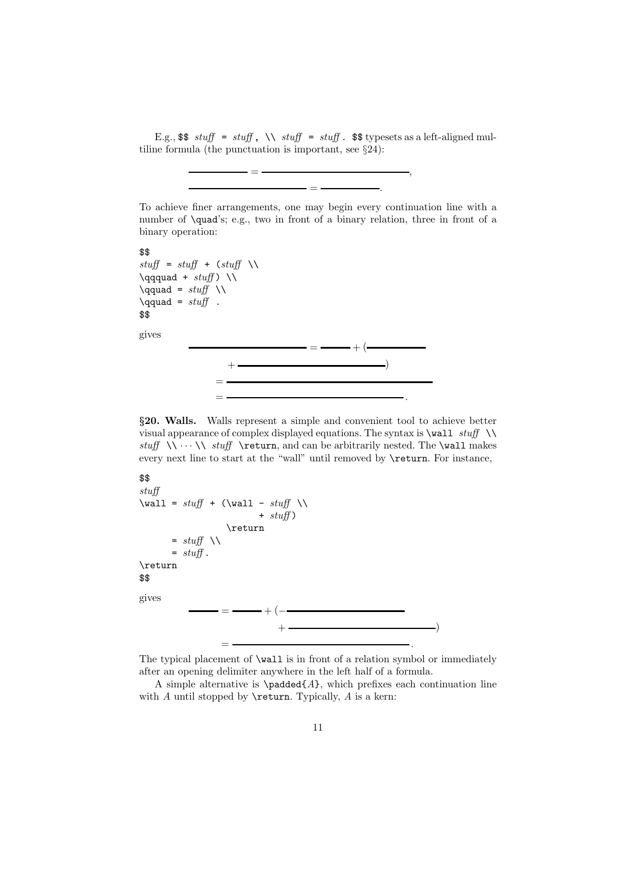E.g.,  $\text{I. }$  stuff = stuff,  $\setminus$  stuff = stuff.  $\text{I. }$  step types as a left-aligned multiline formula (the punctuation is important, see §24):

= *,*

To achieve finer arrangements, one may begin every continuation line with a number of \quad's; e.g., two in front of a binary relation, three in front of a binary operation:

= *.*

```
$$
stuff = stuff + (stuff \ \ \ \ \ \\qqquad + \text{stuff} \\
\qquad = stuff \ \backslash\qquad = stuff.
$$
gives
                  \qquad \qquad \qquad = \qquad \qquad + (\qquad \qquad+ )
              =
              = .
```
*§***20. Walls.** Walls represent a simple and convenient tool to achieve better visual appearance of complex displayed equations. The syntax is  $\text{wall} \text{ }\setminus$ stuff  $\forall x \in \mathbb{N} \cup \mathbb{N}$  and can be arbitrarily nested. The \wall makes every next line to start at the "wall" until removed by **\return**. For instance,

#### \$\$

```
stuff
\text{Wall} = stuff + (\text{Wall} - stuff \ \)+ stuff)
                                                 \return
                  = stuff \setminus= stuff.
\return
$$
gives
                           =\frac{1}{2}+\frac{1}{2}+\frac{1}{2}+\frac{1}{2}+\frac{1}{2}+\frac{1}{2}+\frac{1}{2}+\frac{1}{2}+\frac{1}{2}+\frac{1}{2}+\frac{1}{2}+\frac{1}{2}+\frac{1}{2}+\frac{1}{2}+\frac{1}{2}+\frac{1}{2}+\frac{1}{2}+\frac{1}{2}+\frac{1}{2}+\frac{1}{2}+\frac{1}{2}+\frac{1}{2}+\frac{1}{2}+\frac{1}{2}+\frac{1}{2}+\frac{1}{2}+\frac{1}{2}+\frac{1}{2}+\frac{1}{2}+\frac{1}{2}+\frac{1}{2}+\frac{+ )
                                              = .
```
The typical placement of \wall is in front of a relation symbol or immediately after an opening delimiter anywhere in the left half of a formula.

A simple alternative is  $\text{A}, \text{which prefixes each continuation line}$ with  $A$  until stopped by **\return**. Typically,  $A$  is a kern: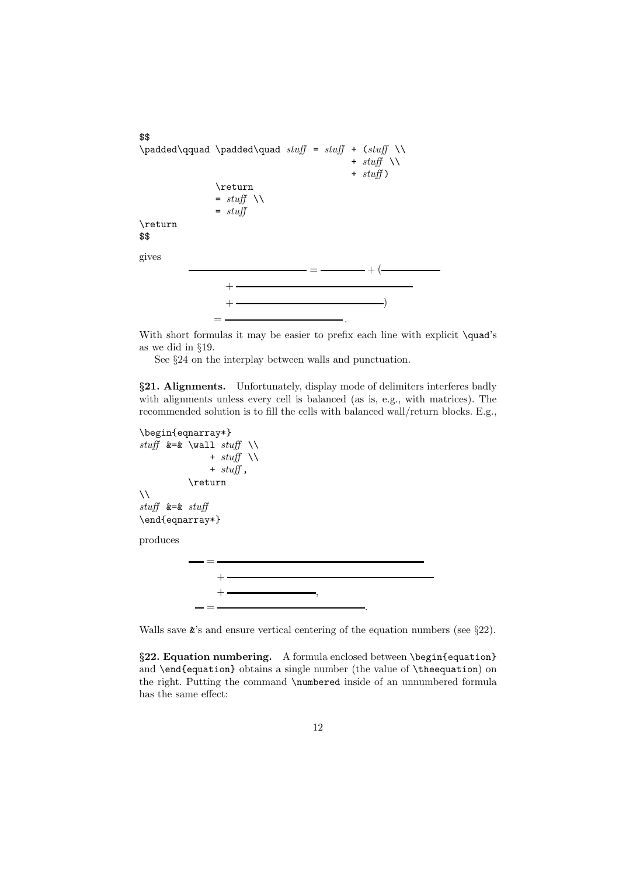```
$$
\padded\qquad \padded\quad stuff = stuff + (stuff \\
                                      + stuff \ \ \ \ \ \ \ \ \+ stuff)
              \return
              = stuff \setminus= stuff
\return
$$
gives
                     \qquad \qquad = \qquad \qquad + (\qquad \qquad++ )
             = .
```
With short formulas it may be easier to prefix each line with explicit **\quad**'s as we did in §19.

See §24 on the interplay between walls and punctuation.

*§***21. Alignments.** Unfortunately, display mode of delimiters interferes badly with alignments unless every cell is balanced (as is, e.g., with matrices). The recommended solution is to fill the cells with balanced wall/return blocks. E.g.,

```
\begin{eqnarray*}
stuff &=& \wall stuff \\
              + \text{stuff} \ \ \ \ \ \ \ \ \ \+ stuff,
          \return
\setminusstuff &=& stuff\end{eqnarray*}
produces
             =
                + - - - - -+ ,
```
Walls save  $\&$ 's and ensure vertical centering of the equation numbers (see §22).

= *.*

*§***22. Equation numbering.** A formula enclosed between \begin{equation} and \end{equation} obtains a single number (the value of \theequation) on the right. Putting the command \numbered inside of an unnumbered formula has the same effect: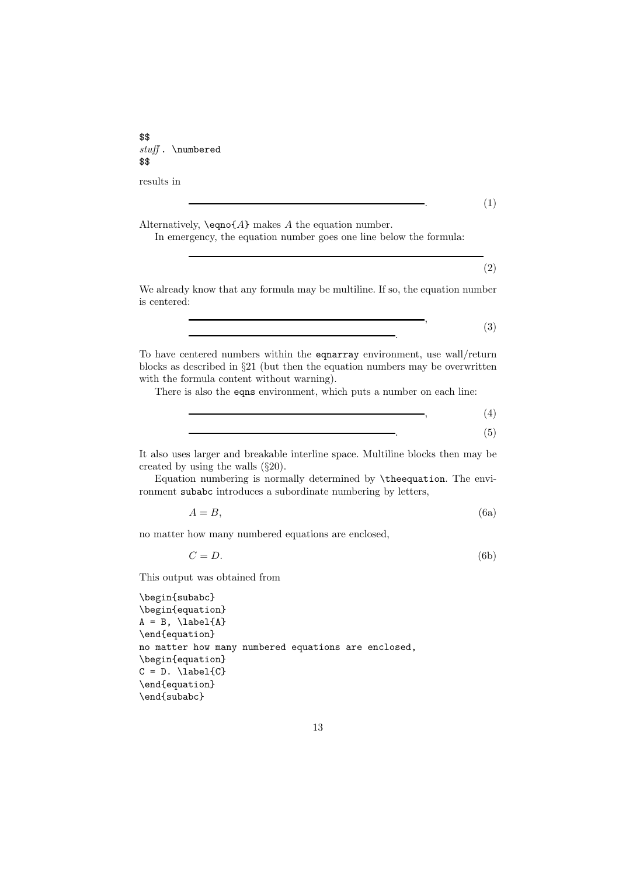\$\$ stuff . \numbered \$\$

results in

*.* (1)

Alternatively, \eqno{*A*} makes *A* the equation number.

In emergency, the equation number goes one line below the formula:

(2)

We already know that any formula may be multiline. If so, the equation number is centered:

$$
\begin{array}{c}\n \bullet \\
 \bullet \\
 \bullet\n \end{array}
$$
\n
$$
\begin{array}{c}\n \bullet \\
 \bullet \\
 \bullet\n \end{array}
$$
\n
$$
\begin{array}{c}\n \bullet \\
 \bullet \\
 \bullet \\
 \end{array}
$$
\n
$$
\begin{array}{c}\n \bullet \\
 \bullet \\
 \end{array}
$$
\n
$$
\begin{array}{c}\n \bullet \\
 \bullet \\
 \end{array}
$$
\n
$$
\begin{array}{c}\n \bullet \\
 \bullet \\
 \end{array}
$$
\n
$$
\begin{array}{c}\n \bullet \\
 \bullet \\
 \end{array}
$$

To have centered numbers within the eqnarray environment, use wall/return blocks as described in §21 (but then the equation numbers may be overwritten with the formula content without warning).

There is also the eqns environment, which puts a number on each line:

$$
\qquad \qquad , \qquad \qquad (4)
$$

*.* (5) It also uses larger and breakable interline space. Multiline blocks then may be

created by using the walls (§20). Equation numbering is normally determined by \theequation. The environment subabc introduces a subordinate numbering by letters,

$$
A = B,\tag{6a}
$$

no matter howmany numbered equations are enclosed,

$$
C = D.\t\t(6b)
$$

This output was obtained from

```
\begin{subabc}
\begin{equation}
A = B, \label{eq:1} \label{eq:1}\end{equation}
no matter how many numbered equations are enclosed,
\begin{equation}
C = D. \ \langle \text{label}(C) \rangle\end{equation}
\end{subabc}
```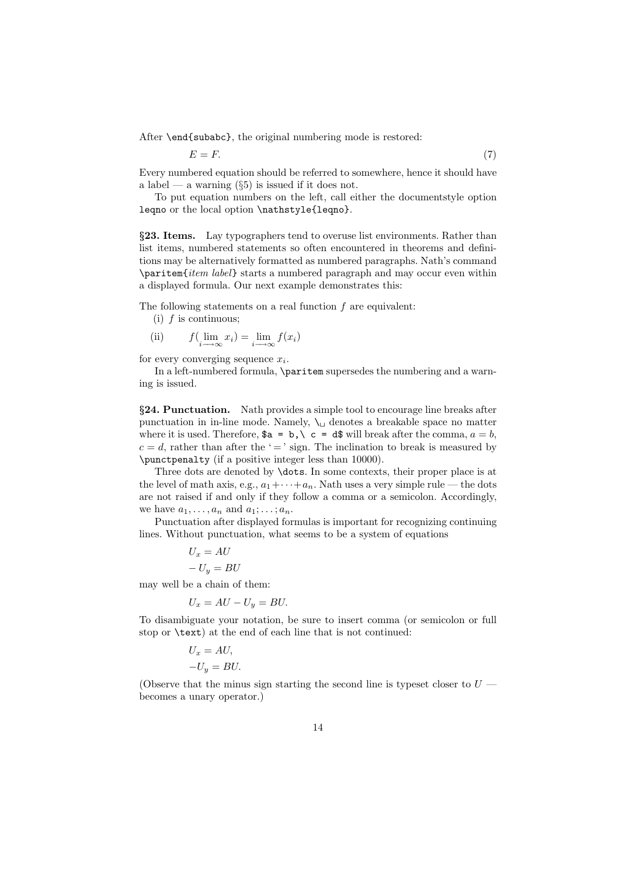After \end{subabc}, the original numbering mode is restored:

$$
E = F.\tag{7}
$$

Every numbered equation should be referred to somewhere, hence it should have a label — a warning  $(\S 5)$  is issued if it does not.

To put equation numbers on the left, call either the documentstyle option leqno or the local option \nathstyle{leqno}.

*§***23. Items.** Lay typographers tend to overuse list environments. Rather than list items, numbered statements so often encountered in theorems and definitions may be alternatively formatted as numbered paragraphs. Nath's command \paritem{item label} starts a numbered paragraph and may occur even within a displayed formula. Our next example demonstrates this:

The following statements on a real function *f* are equivalent:

- (i) *f* is continuous;
- (ii)  $f(\lim_{i \to \infty} x_i) = \lim_{i \to \infty} f(x_i)$

for every converging sequence *xi*.

In a left-numbered formula, \paritem supersedes the numbering and a warning is issued.

*§***24. Punctuation.** Nath provides a simple tool to encourage line breaks after punctuation in in-line mode. Namely,  $\setminus_{\sqcup}$  denotes a breakable space no matter where it is used. Therefore,  $a = b$ ,  $c = d$  will break after the comma,  $a = b$ ,  $c = d$ , rather than after the ' = ' sign. The inclination to break is measured by \punctpenalty (if a positive integer less than 10000).

Three dots are denoted by \dots. In some contexts, their proper place is at the level of math axis, e.g.,  $a_1 + \cdots + a_n$ . Nath uses a very simple rule — the dots are not raised if and only if they followa comma or a semicolon. Accordingly, we have  $a_1, \ldots, a_n$  and  $a_1; \ldots; a_n$ .

Punctuation after displayed formulas is important for recognizing continuing lines. Without punctuation, what seems to be a system of equations

$$
U_x = AU
$$
  

$$
-U_y = BU
$$

may well be a chain of them:

$$
U_x = AU - U_y = BU.
$$

To disambiguate your notation, be sure to insert comma (or semicolon or full stop or \text) at the end of each line that is not continued:

$$
U_x = AU,
$$
  

$$
-U_y = BU.
$$

(Observe that the minus sign starting the second line is typeset closer to  $U$  becomes a unary operator.)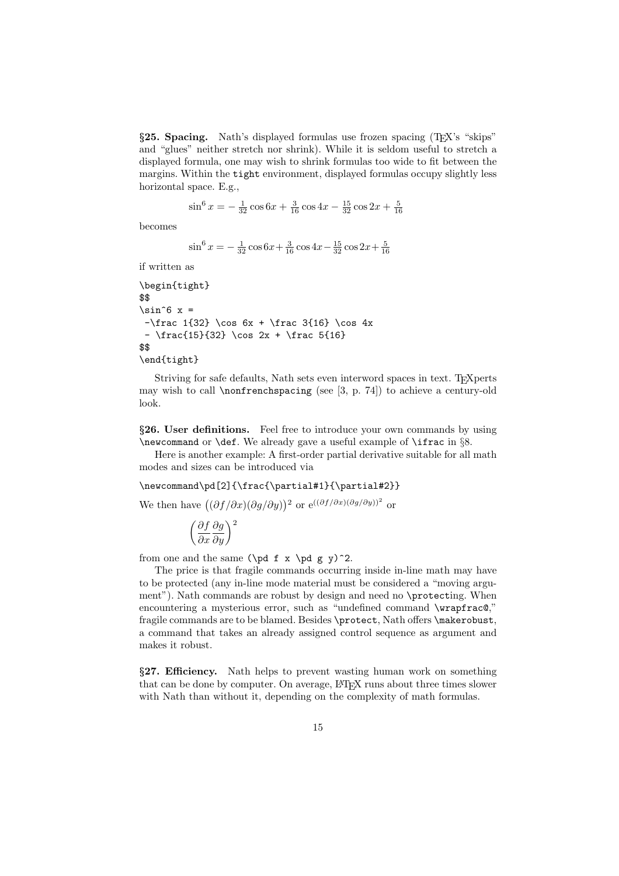*§***25. Spacing.** Nath's displayed formulas use frozen spacing (TEX's "skips" and "glues" neither stretch nor shrink). While it is seldom useful to stretch a displayed formula, one may wish to shrink formulas too wide to fit between the margins. Within the tight environment, displayed formulas occupy slightly less horizontal space. E.g.,

$$
\sin^6 x = -\frac{1}{32}\cos 6x + \frac{3}{16}\cos 4x - \frac{15}{32}\cos 2x + \frac{5}{16}
$$

becomes

$$
\sin^6 x = -\frac{1}{32}\cos 6x + \frac{3}{16}\cos 4x - \frac{15}{32}\cos 2x + \frac{5}{16}
$$

if written as

```
\begin{tight}
$$
\sin^6 x =-\frac{1}{32} \cos 6x + \frac{3}{16} \cos 4x- \frac{15}{32} \cos 2x + \frac{1}{16}$$
\end{tight}
```
Striving for safe defaults, Nath sets even interword spaces in text. To EXperts may wish to call  $\{nonferench spacing$  (see [3, p. 74]) to achieve a century-old look.

*§***26. User definitions.** Feel free to introduce your own commands by using \newcommand or \def. We already gave a useful example of \ifrac in §8.

Here is another example: A first-order partial derivative suitable for all math modes and sizes can be introduced via

#### \newcommand\pd[2]{\frac{\partial#1}{\partial#2}}

We then have  $((\partial f/\partial x)(\partial g/\partial y))^2$  or  $e^{((\partial f/\partial x)(\partial g/\partial y))^2}$  or

$$
\left(\frac{\partial f}{\partial x}\frac{\partial g}{\partial y}\right)^2
$$

from one and the same  $(\pmb{\beta} f \times \pmb{\beta} g \cdot \pmb{\gamma})^2$ .

The price is that fragile commands occurring inside in-line math may have to be protected (any in-line mode material must be considered a "moving argument"). Nath commands are robust by design and need no \protecting. When encountering a mysterious error, such as "undefined command \wrapfrac@," fragile commands are to be blamed. Besides \protect, Nath offers \makerobust, a command that takes an already assigned control sequence as argument and makes it robust.

*§***27. Efficiency.** Nath helps to prevent wasting human work on something that can be done by computer. On average, LATEX runs about three times slower with Nath than without it, depending on the complexity of math formulas.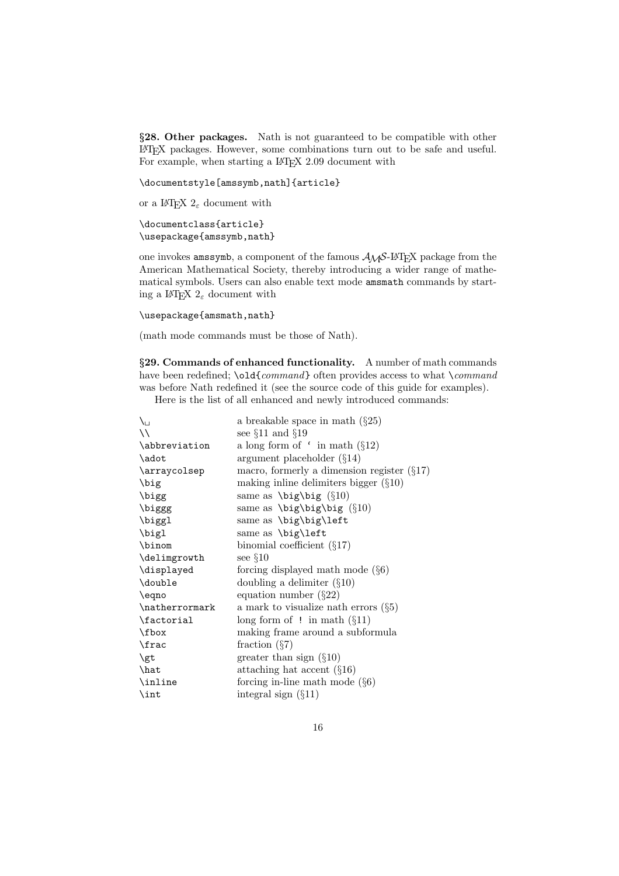*§***28. Other packages.** Nath is not guaranteed to be compatible with other LATEX packages. However, some combinations turn out to be safe and useful. For example, when starting a IAT<sub>E</sub>X 2.09 document with

\documentstyle[amssymb,nath]{article}

or a I<sup>AT</sup>EX  $2_\varepsilon$  document with

```
\documentclass{article}
\usepackage{amssymb,nath}
```
one invokes amssymb, a component of the famous  $A_{\mathcal{M}}S$ -L<sup>2</sup>T<sub>E</sub>X package from the American Mathematical Society, thereby introducing a wider range of mathematical symbols. Users can also enable text mode amsmath commands by starting a I<sup>g</sup>T<sub>E</sub>X  $2<sub>\varepsilon</sub>$  document with

```
\usepackage{amsmath,nath}
```
(math mode commands must be those of Nath).

*§***29. Commands of enhanced functionality.** A number of math commands have been redefined; \old{command} often provides access to what \command was before Nath redefined it (see the source code of this guide for examples).

Here is the list of all enhanced and newly introduced commands:

| $\setminus$    | a breakable space in math $(\S 25)$                 |
|----------------|-----------------------------------------------------|
| $\setminus$    | see $\S11$ and $\S19$                               |
| \abbreviation  | a long form of $\cdot$ in math ( $\S12$ )           |
| \adot          | argument placeholder $(\S14)$                       |
| \arraycolsep   | macro, formerly a dimension register $(\S17)$       |
| \big           | making inline delimiters bigger $(\S10)$            |
| \bigg          | same as $\big\{\beta(610)$                          |
| \biggg         | same as $\big\big\big\big\{ \frac{10}{10} \right\}$ |
| \biggl         | same as \big\big\left                               |
| \bigl          | same as \big\left                                   |
| \binom         | binomial coefficient $(\S17)$                       |
| \delimgrowth   | see $\S10$                                          |
| \displayed     | forcing displayed math mode $(\S6)$                 |
| \double        | doubling a delimiter $(\S10)$                       |
| \eqno          | equation number $(\S 22)$                           |
| \natherrormark | a mark to visualize nath errors $(\S 5)$            |
| \factorial     | long form of ! in math $(\S11)$                     |
| \fbox          | making frame around a subformula                    |
| \frac          | fraction $(\S7)$                                    |
| \gt            | greater than sign $(\S10)$                          |
| \hat           | attaching hat accent $(\S16)$                       |
| \inline        | forcing in-line math mode $(\S6)$                   |
| $\int$ int     | integral sign $(\S11)$                              |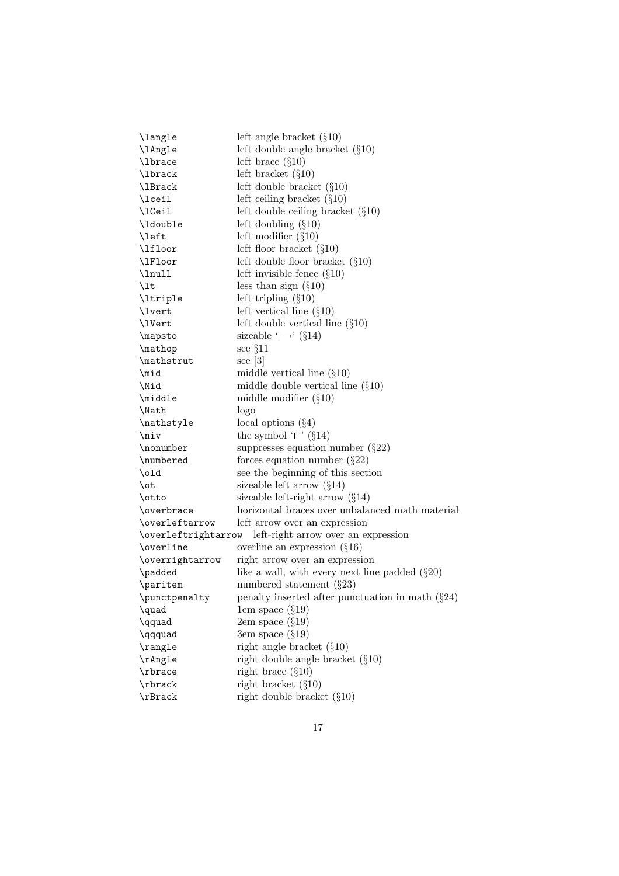| \langle             | left angle bracket $(\S10)$                          |
|---------------------|------------------------------------------------------|
| \lAngle             | left double angle bracket $(\S10)$                   |
| \lbrace             | left brace $(\S10)$                                  |
| \lbrack             | left bracket $(\S10)$                                |
| \lBrack             | left double bracket $(\S10)$                         |
| \lceil              | left ceiling bracket $(\S10)$                        |
| \1Ceil              | left double ceiling bracket $(\S10)$                 |
| \ldouble            | left doubling $(\S10)$                               |
| \left               | left modifier $(\S10)$                               |
| \lfloor             | left floor bracket $(\S10)$                          |
| \lFloor             | left double floor bracket $(\S10)$                   |
| \lnull              | left invisible fence $(\S10)$                        |
| $\mathcal{L}$       | less than sign $(\S10)$                              |
| \ltriple            | left tripling $(\S10)$                               |
| \lvert              | left vertical line $(\S10)$                          |
| \lVert              | left double vertical line $(\S10)$                   |
| \mapsto             | sizeable ' $\mapsto$ ' (§14)                         |
| \mathop             | see $§11$                                            |
| \mathstrut          | see $[3]$                                            |
| $\mid$              | middle vertical line $(\S10)$                        |
| \Mid                | middle double vertical line $(\S10)$                 |
| \middle             | middle modifier $(\S10)$                             |
| \Nath               | logo                                                 |
| \nathstyle          | local options $(\S4)$                                |
| $\lambda$           | the symbol $\mathcal{L}'$ (§14)                      |
| \nonumber           | suppresses equation number $(\S22)$                  |
| \numbered           | forces equation number $(\S 22)$                     |
| $\delta$            | see the beginning of this section                    |
| \ot                 | sizeable left arrow $(\S14)$                         |
| \otto               | sizeable left-right arrow $(\S14)$                   |
| \overbrace          | horizontal braces over unbalanced math material      |
| \overleftarrow      | left arrow over an expression                        |
| \overleftrightarrow | left-right arrow over an expression                  |
| \overline           | overline an expression $(\S16)$                      |
| \overrightarrow     | right arrow over an expression                       |
| \padded             | like a wall, with every next line padded $(\S 20)$   |
| \paritem            | numbered statement $(\S 23)$                         |
| \punctpenalty       | penalty inserted after punctuation in math $(\S 24)$ |
| \quad               | 1em space $(\S19)$                                   |
| \qquad              | $2em$ space $(\S19)$                                 |
| \qqquad             | 3em space (§19)                                      |
| \rangle             | right angle bracket $(\S10)$                         |
| \rAngle             | right double angle bracket $(\S10)$                  |
| \rbrace             | right brace $(\S10)$                                 |
| \rbrack             | right bracket $(\S10)$                               |
| \rBrack             | right double bracket $(\S10)$                        |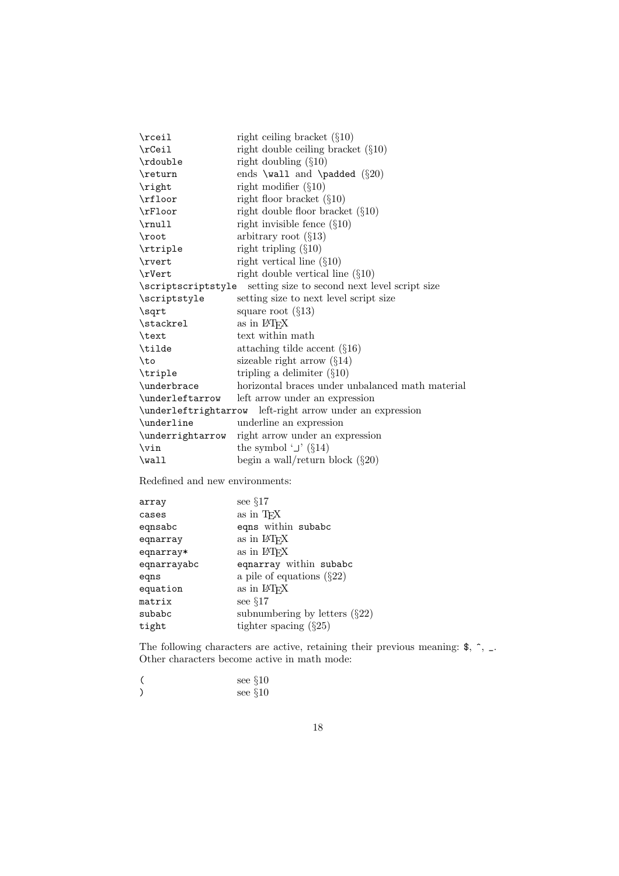| $\chi$             | right ceiling bracket $(\S10)$                            |
|--------------------|-----------------------------------------------------------|
| $\csc$             | right double ceiling bracket $(\S10)$                     |
| \rdouble           | right doubling $(\S10)$                                   |
| \return            | ends \wall and \padded $(\S20)$                           |
| \right             | right modifier $(\S10)$                                   |
| \rfloor            | right floor bracket $(\S10)$                              |
| \rFloor            | right double floor bracket $(\S10)$                       |
|                    | right invisible fence $(\S10)$                            |
| $\lambda$ root     | arbitrary root $(\S13)$                                   |
| \rtriple           | right tripling $(\S10)$                                   |
| \rvert             | right vertical line $(\S10)$                              |
| \rVert             | right double vertical line $(\S10)$                       |
| \scriptscriptstyle | setting size to second next level script size             |
| \scriptstyle       | setting size to next level script size                    |
| \sqrt              | square root $(\S13)$                                      |
| \stackrel          | as in L <sup>AT</sup> <sub>E</sub> X                      |
| \text              | text within math                                          |
| \tilde             | attaching tilde accent $(\S16)$                           |
| \to                | sizeable right arrow $(\S14)$                             |
| \triple            | tripling a delimiter $(\S10)$                             |
| \underbrace        | horizontal braces under unbalanced math material          |
| \underleftarrow    | left arrow under an expression                            |
|                    | \underleftrightarrow left-right arrow under an expression |
| \underline         | underline an expression                                   |
| \underrightarrow   | right arrow under an expression                           |
| $\forall$ in       | the symbol $\cup$ (§14)                                   |
| $\text{Wall}$      | begin a wall/return block $(\S 20)$                       |
|                    |                                                           |

Redefined and new environments:

| array       | see $\S17$                           |
|-------------|--------------------------------------|
| cases       | as in TFX                            |
| eqnsabc     | eqns within subabc                   |
| eqnarray    | as in IATFX                          |
| eqnarray*   | as in IATFX                          |
| eqnarrayabc | eqnarray within subabc               |
| eqns        | a pile of equations $(\S22)$         |
| equation    | as in L <sup>AT</sup> <sub>E</sub> X |
| matrix      | see $\S17$                           |
| subabc      | subnumbering by letters $(\S22)$     |
| tight       | tighter spacing $(\S 25)$            |

The following characters are active, retaining their previous meaning:  $\$ , ^, \_. Other characters become active in math mode:

| see $§10$ |
|-----------|
| see $§10$ |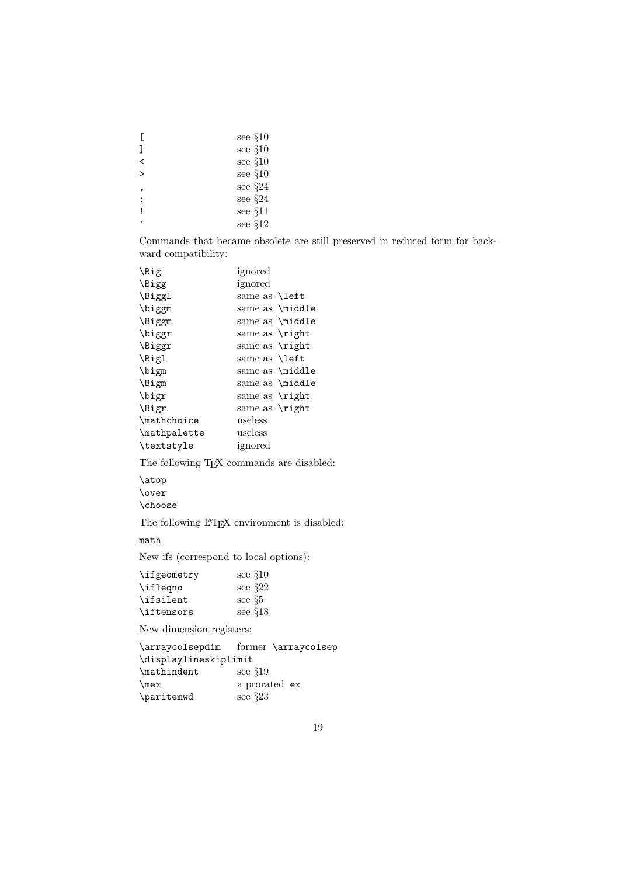|              | see $\S10$  |
|--------------|-------------|
| ٦            | see $§10$   |
| ≺            | see $§10$   |
| $\mathbf{r}$ | see $§10$   |
| <sup>,</sup> | see $\S 24$ |
| ;            | see §24     |
|              | see §11     |
| t            | see $§12$   |

Commands that became obsolete are still preserved in reduced form for backward compatibility:

| \Big         | ignored                      |                 |
|--------------|------------------------------|-----------------|
| \Bigg        | ignored                      |                 |
| \Biggl       | same as <b>\left</b>         |                 |
| \biggm       |                              | same as \middle |
| \Biggm       |                              | same as \middle |
| \biggr       | same as $\rightleftharpoons$ |                 |
| \Biggr       | same as $\rightleftharpoons$ |                 |
| \Bigl        | same as <b>\left</b>         |                 |
| \bigm        |                              | same as \middle |
| \Bigm        |                              | same as \middle |
| \bigr        | same as $\rightleftharpoons$ |                 |
| \Bigr        | same as $\rightleftharpoons$ |                 |
| \mathchoice  | useless                      |                 |
| \mathpalette | useless                      |                 |
| \textstyle   | ignored                      |                 |

The following T<sub>E</sub>X commands are disabled:

\atop \over \choose

The following LAT<sub>EX</sub> environment is disabled:

math

Newifs (correspond to local options):

| \ifgeometry | see $\S10$  |
|-------------|-------------|
| \ifleqno    | see $\S 22$ |
| \ifsilent   | see $\S5$   |
| \iftensors  | see $\S18$  |

New dimension registers:

```
\arraycolsepdim former \arraycolsep
\displaylineskiplimit
\mathindent see §19
\mex a prorated ex
\paritemwd see §23
```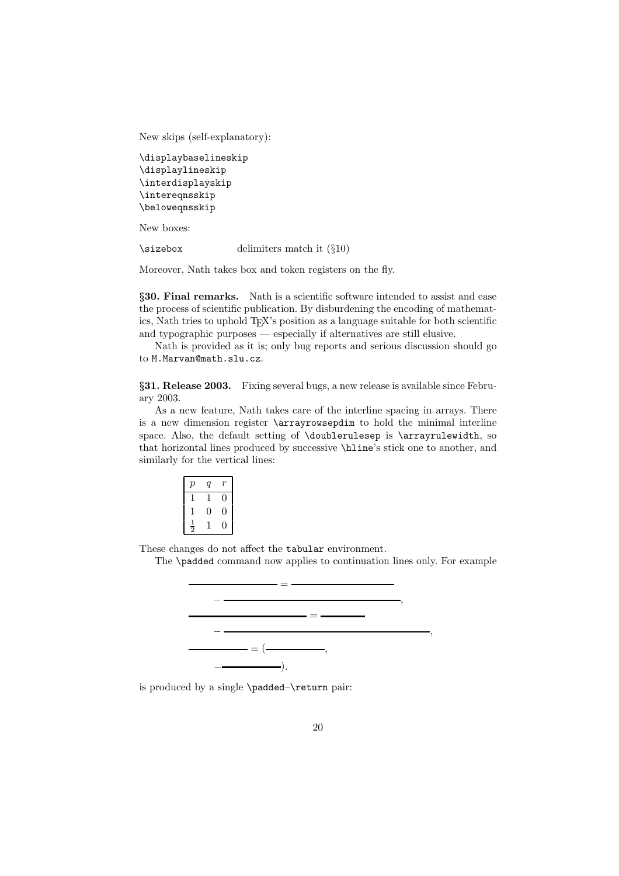Newskips (self-explanatory):

```
\displaybaselineskip
\displaylineskip
\interdisplayskip
\intereqnsskip
\beloweqnsskip
```
New boxes:

\sizebox delimiters match it (§10)

Moreover, Nath takes box and token registers on the fly.

*§***30. Final remarks.** Nath is a scientific software intended to assist and ease the process of scientific publication. By disburdening the encoding of mathematics, Nath tries to uphold T<sub>E</sub>X's position as a language suitable for both scientific and typographic purposes — especially if alternatives are still elusive.

Nath is provided as it is; only bug reports and serious discussion should go to M.Marvan@math.slu.cz.

*§***31. Release 2003.** Fixing several bugs, a newrelease is available since February 2003.

As a new feature, Nath takes care of the interline spacing in arrays. There is a new dimension register  $\arctan$  to hold the minimal interline space. Also, the default setting of \doublerulesep is \arrayrulewidth, so that horizontal lines produced by successive \hline's stick one to another, and similarly for the vertical lines:

| р             | q |   |  |
|---------------|---|---|--|
| T             | 1 |   |  |
| T             | 0 | 0 |  |
| $\frac{1}{2}$ |   |   |  |

These changes do not affect the tabular environment.

The \padded command nowapplies to continuation lines only. For example



is produced by a single \padded–\return pair: